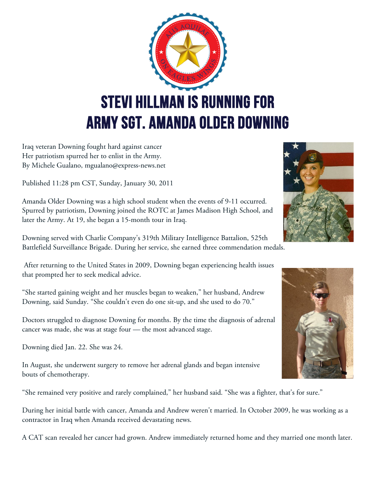

Iraq veteran Downing fought hard against cancer Her patriotism spurred her to enlist in the Army. By Michele Gualano, mgualano@express-news.net

Published 11:28 pm CST, Sunday, January 30, 2011

Amanda Older Downing was a high school student when the events of 9-11 occurred. Spurred by patriotism, Downing joined the ROTC at James Madison High School, and later the Army. At 19, she began a 15-month tour in Iraq.

Downing served with Charlie Company's 319th Military Intelligence Battalion, 525th Battlefield Surveillance Brigade. During her service, she earned three commendation medals.

After returning to the United States in 2009, Downing began experiencing health issues that prompted her to seek medical advice.

"She started gaining weight and her muscles began to weaken," her husband, Andrew Downing, said Sunday. "She couldn't even do one sit-up, and she used to do 70."

Doctors struggled to diagnose Downing for months. By the time the diagnosis of adrenal cancer was made, she was at stage four — the most advanced stage.

Downing died Jan. 22. She was 24.

In August, she underwent surgery to remove her adrenal glands and began intensive bouts of chemotherapy.

"She remained very positive and rarely complained," her husband said. "She was a fighter, that's for sure."

During her initial battle with cancer, Amanda and Andrew weren't married. In October 2009, he was working as a contractor in Iraq when Amanda received devastating news.

A CAT scan revealed her cancer had grown. Andrew immediately returned home and they married one month later.